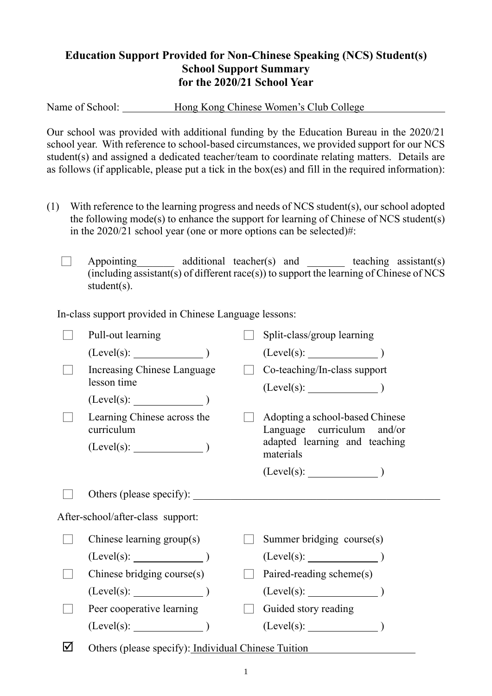## **Education Support Provided for Non-Chinese Speaking (NCS) Student(s) School Support Summary for the 2020/21 School Year**

Name of School: Hong Kong Chinese Women's Club College

Our school was provided with additional funding by the Education Bureau in the 2020/21 school year. With reference to school-based circumstances, we provided support for our NCS student(s) and assigned a dedicated teacher/team to coordinate relating matters. Details are as follows (if applicable, please put a tick in the box(es) and fill in the required information):

- (1) With reference to the learning progress and needs of NCS student(s), our school adopted the following mode(s) to enhance the support for learning of Chinese of NCS student(s) in the 2020/21 school year (one or more options can be selected)#:
	- Appointing additional teacher(s) and teaching assistant(s)  $(including assistant(s) of different race(s))$  to support the learning of Chinese of NCS student(s).

In-class support provided in Chinese Language lessons:

|                                   | Pull-out learning                                   |  | Split-class/group learning                                    |  |  |
|-----------------------------------|-----------------------------------------------------|--|---------------------------------------------------------------|--|--|
|                                   | (Level(s):                                          |  |                                                               |  |  |
|                                   | Increasing Chinese Language<br>lesson time          |  | Co-teaching/In-class support                                  |  |  |
|                                   | $(Level(s):$ $)$                                    |  |                                                               |  |  |
|                                   | Learning Chinese across the<br>curriculum           |  | Adopting a school-based Chinese<br>Language curriculum and/or |  |  |
|                                   | $(Level(s):$ $)$                                    |  | adapted learning and teaching<br>materials                    |  |  |
|                                   |                                                     |  |                                                               |  |  |
|                                   | Others (please specify):                            |  |                                                               |  |  |
| After-school/after-class support: |                                                     |  |                                                               |  |  |
|                                   | Chinese learning group(s)                           |  | Summer bridging course(s)                                     |  |  |
|                                   | $(Level(s):$ (Level(s):                             |  | $(Level(s):$ (Level(s): $)$                                   |  |  |
|                                   | Chinese bridging course(s)                          |  | Paired-reading scheme(s)                                      |  |  |
|                                   | $(Level(s):$ (Level(s): $)$                         |  |                                                               |  |  |
|                                   | Peer cooperative learning                           |  | Guided story reading                                          |  |  |
|                                   | $(Level(s):$ (Level(s):                             |  | $(Level(s):$ $)$                                              |  |  |
| ☑                                 | Others (please specify): Individual Chinese Tuition |  |                                                               |  |  |